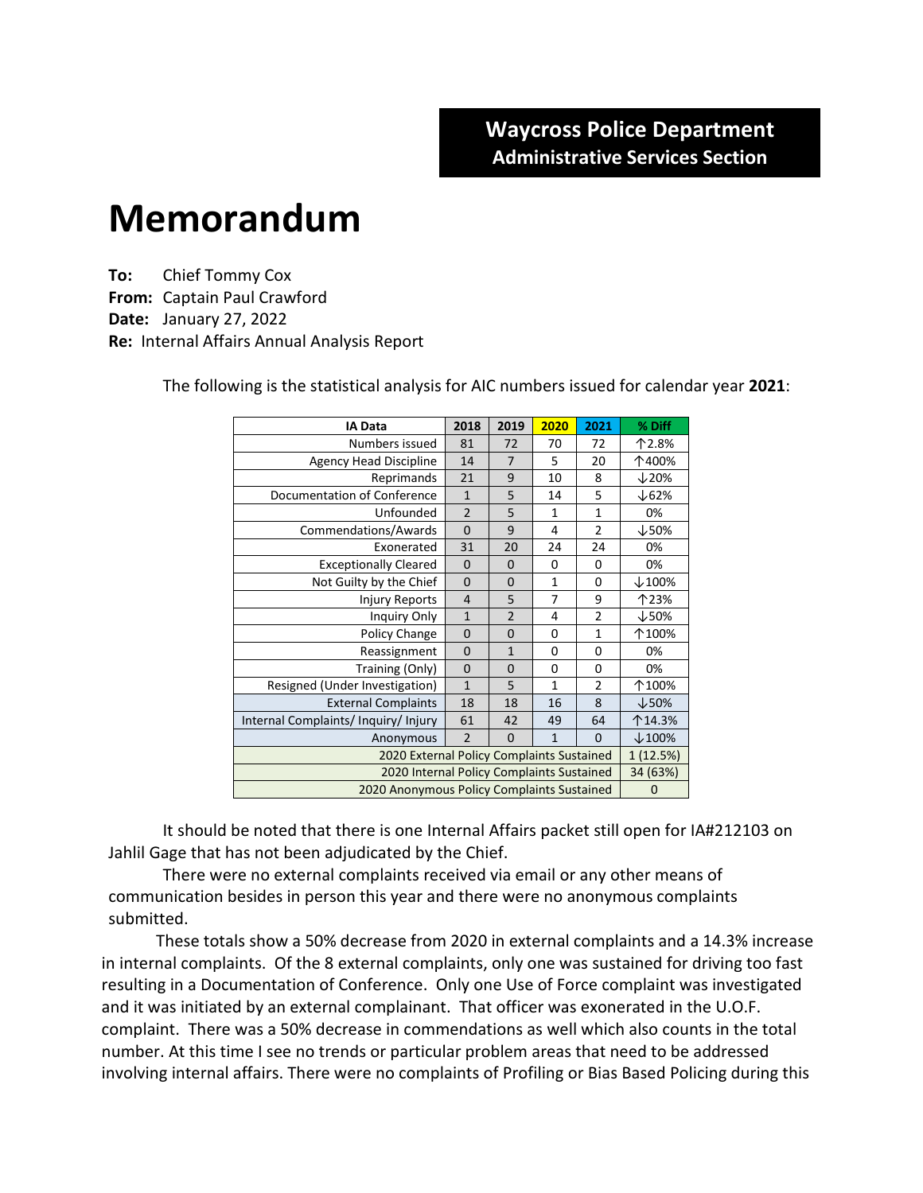## **Memorandum**

**To:** Chief Tommy Cox **From:** Captain Paul Crawford **Date:** January 27, 2022 **Re:** Internal Affairs Annual Analysis Report

| <b>IA Data</b>                             | 2018           | 2019           | 2020         | 2021           | % Diff           |
|--------------------------------------------|----------------|----------------|--------------|----------------|------------------|
| Numbers issued                             | 81             | 72             | 70           | 72             | 个2.8%            |
| <b>Agency Head Discipline</b>              | 14             | 7              | 5            | 20             | 个400%            |
| Reprimands                                 | 21             | 9              | 10           | 8              | $\downarrow$ 20% |
| Documentation of Conference                | $\mathbf{1}$   | 5              | 14           | 5              | $\downarrow$ 62% |
| Unfounded                                  | $\overline{2}$ | 5              | 1            | $\mathbf{1}$   | 0%               |
| Commendations/Awards                       | $\mathbf 0$    | 9              | 4            | $\overline{2}$ | $\downarrow$ 50% |
| Exonerated                                 | 31             | 20             | 24           | 24             | 0%               |
| <b>Exceptionally Cleared</b>               | $\mathbf 0$    | 0              | 0            | 0              | 0%               |
| Not Guilty by the Chief                    | $\mathbf 0$    | 0              | $\mathbf{1}$ | 0              | $\times$ 100%    |
| <b>Injury Reports</b>                      | $\overline{4}$ | 5              | 7            | 9              | 个23%             |
| <b>Inquiry Only</b>                        | $\mathbf{1}$   | $\overline{2}$ | 4            | $\overline{2}$ | $\downarrow$ 50% |
| Policy Change                              | $\mathbf 0$    | $\Omega$       | 0            | $\mathbf{1}$   | 个100%            |
| Reassignment                               | $\mathbf 0$    | $\mathbf{1}$   | 0            | 0              | 0%               |
| Training (Only)                            | 0              | 0              | 0            | 0              | 0%               |
| Resigned (Under Investigation)             | $\mathbf{1}$   | 5              | $\mathbf{1}$ | $\overline{2}$ | 个100%            |
| <b>External Complaints</b>                 | 18             | 18             | 16           | 8              | $\downarrow$ 50% |
| Internal Complaints/Inquiry/Injury         | 61             | 42             | 49           | 64             | 个14.3%           |
| Anonymous                                  | $\overline{2}$ | 0              | $\mathbf{1}$ | $\Omega$       | $\times$ 100%    |
| 2020 External Policy Complaints Sustained  |                |                |              |                | 1(12.5%)         |
| 2020 Internal Policy Complaints Sustained  |                |                |              |                | 34 (63%)         |
| 2020 Anonymous Policy Complaints Sustained |                |                |              |                | 0                |

The following is the statistical analysis for AIC numbers issued for calendar year **2021**:

It should be noted that there is one Internal Affairs packet still open for IA#212103 on Jahlil Gage that has not been adjudicated by the Chief.

There were no external complaints received via email or any other means of communication besides in person this year and there were no anonymous complaints submitted.

These totals show a 50% decrease from 2020 in external complaints and a 14.3% increase in internal complaints. Of the 8 external complaints, only one was sustained for driving too fast resulting in a Documentation of Conference. Only one Use of Force complaint was investigated and it was initiated by an external complainant. That officer was exonerated in the U.O.F. complaint. There was a 50% decrease in commendations as well which also counts in the total number. At this time I see no trends or particular problem areas that need to be addressed involving internal affairs. There were no complaints of Profiling or Bias Based Policing during this